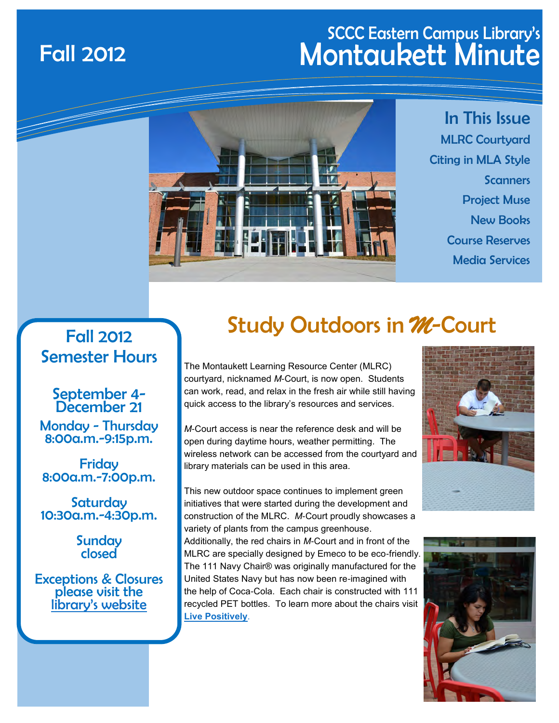## SCCC Eastern Campus Library's Fall 2012 Montaukett Minute



In This Issue MLRC Courtyard Citing in MLA Style **Scanners** Project Muse New Books Course Reserves Media Services

## Fall 2012 Semester Hours

September 4- December 21 Monday - Thursday 8:00a.m.-9:15p.m.

Friday 8:00a.m.-7:00p.m.

**Saturday** 10:30a.m.-4:30p.m.

> **Sunday** closed

Exceptions & Closures please visit the [library's website](http://depthome.sunysuffolk.edu/Library/hours.asp)

## Study Outdoors in *M*-Court

The Montaukett Learning Resource Center (MLRC) courtyard, nicknamed *M*-Court, is now open. Students can work, read, and relax in the fresh air while still having quick access to the library's resources and services.

*M*-Court access is near the reference desk and will be open during daytime hours, weather permitting. The wireless network can be accessed from the courtyard and library materials can be used in this area.

This new outdoor space continues to implement green initiatives that were started during the development and construction of the MLRC. *M*-Court proudly showcases a variety of plants from the campus greenhouse. Additionally, the red chairs in *M*-Court and in front of the MLRC are specially designed by Emeco to be eco-friendly. The 111 Navy Chair® was originally manufactured for the United States Navy but has now been re-imagined with the help of Coca-Cola. Each chair is constructed with 111 recycled PET bottles. To learn more about the chairs visit **[Live Positively](http://www.livepositively.com.au/Page/Packaging/navy-chair)**.



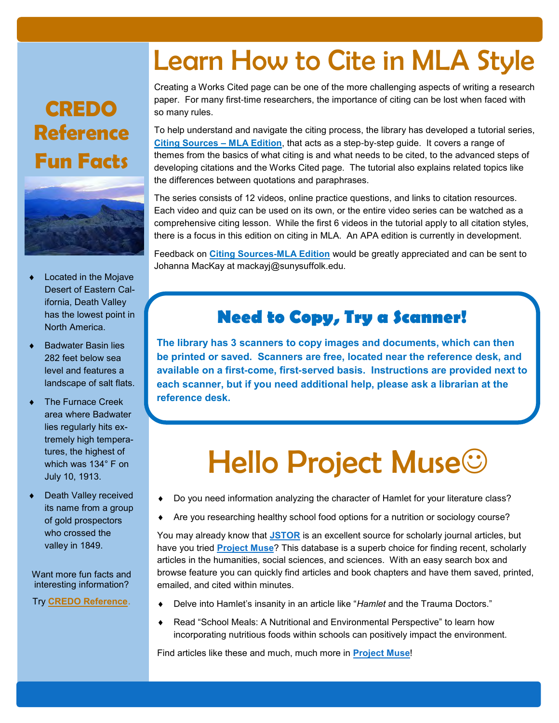## **[CREDO](http://lib1.lib.sunysuffolk.edu/login?url=http://www.credoreference.com/home.do)  [Reference](http://lib1.lib.sunysuffolk.edu/login?url=http://www.credoreference.com/home.do)  [Fun Facts](http://lib1.lib.sunysuffolk.edu/login?url=http://www.credoreference.com/home.do)**



- Located in the Mojave Desert of Eastern California, Death Valley has the lowest point in North America.
- Badwater Basin lies 282 feet below sea level and features a landscape of salt flats.
- The Furnace Creek area where Badwater lies regularly hits extremely high temperatures, the highest of which was 134° F on July 10, 1913.
- Death Valley received its name from a group of gold prospectors who crossed the valley in 1849.

Want more fun facts and interesting information?

Try **[CREDO Reference](http://lib1.lib.sunysuffolk.edu/login?url=http://www.credoreference.com/home.do)**.

# Learn How to Cite in MLA Style

Creating a Works Cited page can be one of the more challenging aspects of writing a research paper. For many first-time researchers, the importance of citing can be lost when faced with so many rules.

To help understand and navigate the citing process, the library has developed a tutorial series, **[Citing Sources – MLA Edition](http://libguides.sunysuffolk.edu/mlacitingsources)**, that acts as a step-by-step guide. It covers a range of themes from the basics of what citing is and what needs to be cited, to the advanced steps of developing citations and the Works Cited page. The tutorial also explains related topics like the differences between quotations and paraphrases.

The series consists of 12 videos, online practice questions, and links to citation resources. Each video and quiz can be used on its own, or the entire video series can be watched as a comprehensive citing lesson. While the first 6 videos in the tutorial apply to all citation styles, there is a focus in this edition on citing in MLA. An APA edition is currently in development.

Feedback on **[Citing Sources](http://libguides.sunysuffolk.edu/mlacitingsources)-MLA Edition** would be greatly appreciated and can be sent to Johanna MacKay at mackayj@sunysuffolk.edu.

## **Need to Copy, Try a Scanner!**

**The library has 3 scanners to copy images and documents, which can then be printed or saved. Scanners are free, located near the reference desk, and available on a first-come, first-served basis. Instructions are provided next to each scanner, but if you need additional help, please ask a librarian at the reference desk.**

# Hello Project Muse $\odot$

- Do you need information analyzing the character of Hamlet for your literature class?
- Are you researching healthy school food options for a nutrition or sociology course?

You may already know that **[JSTOR](http://lib1.lib.sunysuffolk.edu/login?url=http://www.jstor.org/action/showAdvancedSearch)** is an excellent source for scholarly journal articles, but have you tried **[Project Muse](http://lib1.lib.sunysuffolk.edu/login?url=http://muse.jhu.edu)**? This database is a superb choice for finding recent, scholarly articles in the humanities, social sciences, and sciences. With an easy search box and browse feature you can quickly find articles and book chapters and have them saved, printed, emailed, and cited within minutes.

- Delve into Hamlet's insanity in an article like "*Hamlet* and the Trauma Doctors."
- Read "School Meals: A Nutritional and Environmental Perspective" to learn how incorporating nutritious foods within schools can positively impact the environment.

Find articles like these and much, much more in **[Project Muse](http://lib1.lib.sunysuffolk.edu/login?url=http://muse.jhu.edu)**!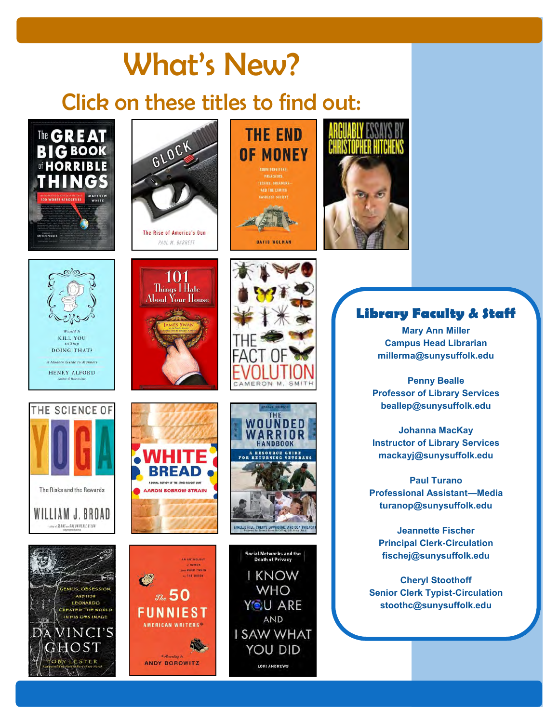## What's New? Click on these titles to find out:





101 Things I Hate About Your House

## **THE END OF MONEY**

**CASHLESS SOCIETY** 







#### **Library Faculty & Staff**

**Mary Ann Miller Campus Head Librarian millerma@sunysuffolk.edu**

**Penny Bealle Professor of Library Services beallep@sunysuffolk.edu**

**Johanna MacKay Instructor of Library Services mackayj@sunysuffolk.edu**

**Paul Turano Professional Assistant—Media turanop@sunysuffolk.edu**

**Jeannette Fischer Principal Clerk-Circulation fischej@sunysuffolk.edu**

**Cheryl Stoothoff Senior Clerk Typist-Circulation stoothc@sunysuffolk.edu**









THE ONION

 $\mathcal{R}$  50

**FUNNIEST** 

**AMERICAN WRITERS** 

According to

**ANDY BOROWITZ** 

 $\bullet$